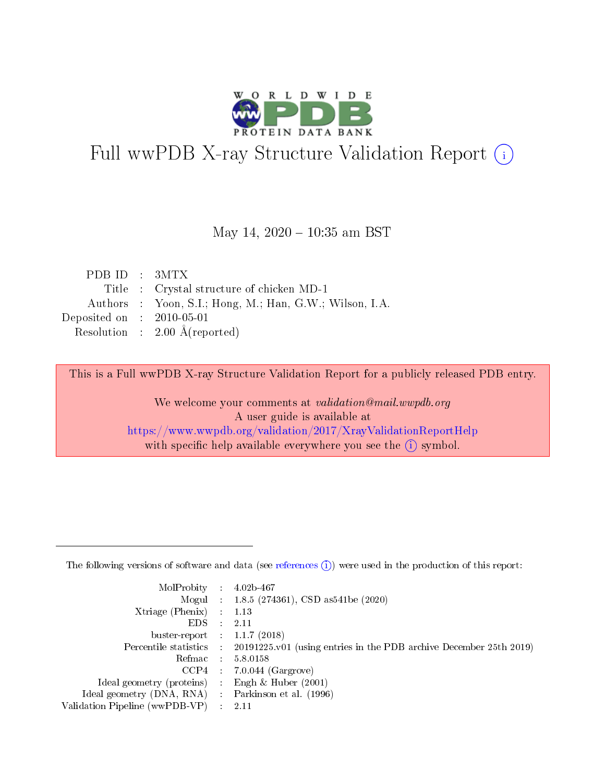

# Full wwPDB X-ray Structure Validation Report (i)

#### May 14,  $2020 - 10:35$  am BST

| PDBID : 3MTX                |                                                         |
|-----------------------------|---------------------------------------------------------|
|                             | Title : Crystal structure of chicken MD-1               |
|                             | Authors : Yoon, S.I.; Hong, M.; Han, G.W.; Wilson, I.A. |
| Deposited on : $2010-05-01$ |                                                         |
|                             | Resolution : $2.00 \text{ Å}$ (reported)                |

This is a Full wwPDB X-ray Structure Validation Report for a publicly released PDB entry.

We welcome your comments at validation@mail.wwpdb.org A user guide is available at <https://www.wwpdb.org/validation/2017/XrayValidationReportHelp> with specific help available everywhere you see the  $(i)$  symbol.

The following versions of software and data (see [references](https://www.wwpdb.org/validation/2017/XrayValidationReportHelp#references)  $(1)$ ) were used in the production of this report:

| MolProbity :                   |               | $4.02b - 467$                                                                |
|--------------------------------|---------------|------------------------------------------------------------------------------|
|                                |               | Mogul : 1.8.5 (274361), CSD as 541be (2020)                                  |
| $X$ triage (Phenix) :          |               | 1.13                                                                         |
| EDS.                           |               | 2.11                                                                         |
| buster-report : $1.1.7$ (2018) |               |                                                                              |
| Percentile statistics :        |               | $20191225 \text{ v}01$ (using entries in the PDB archive December 25th 2019) |
| Refmac :                       |               | 5.8.0158                                                                     |
| $CCP4$ :                       |               | $7.0.044$ (Gargrove)                                                         |
| Ideal geometry (proteins) :    |               | Engh $\&$ Huber (2001)                                                       |
| Ideal geometry (DNA, RNA) :    |               | Parkinson et al. (1996)                                                      |
| Validation Pipeline (wwPDB-VP) | $\mathcal{L}$ | 2.11                                                                         |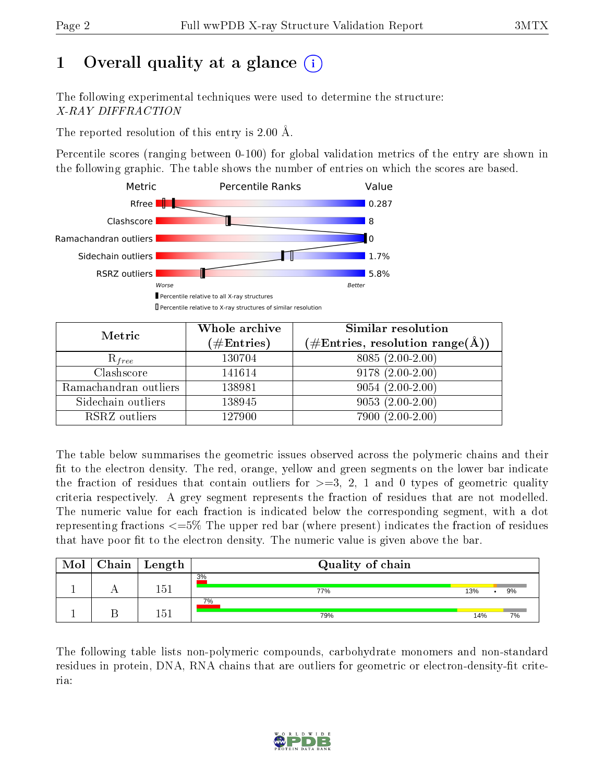## 1 [O](https://www.wwpdb.org/validation/2017/XrayValidationReportHelp#overall_quality)verall quality at a glance (i)

The following experimental techniques were used to determine the structure: X-RAY DIFFRACTION

The reported resolution of this entry is 2.00 Å.

Percentile scores (ranging between 0-100) for global validation metrics of the entry are shown in the following graphic. The table shows the number of entries on which the scores are based.



| Metric                | Whole archive<br>$(\#\text{Entries})$ | Similar resolution<br>$(\#\text{Entries},\,\text{resolution}\,\,\text{range}(\textup{\AA}))$ |
|-----------------------|---------------------------------------|----------------------------------------------------------------------------------------------|
| $R_{free}$            | 130704                                | 8085 (2.00-2.00)                                                                             |
| Clashscore            | 141614                                | $9178(2.00-2.00)$                                                                            |
| Ramachandran outliers | 138981                                | $9054(2.00-2.00)$                                                                            |
| Sidechain outliers    | 138945                                | $9053(2.00-2.00)$                                                                            |
| RSRZ outliers         | 127900                                | 7900 (2.00-2.00)                                                                             |

The table below summarises the geometric issues observed across the polymeric chains and their fit to the electron density. The red, orange, yellow and green segments on the lower bar indicate the fraction of residues that contain outliers for  $>=3, 2, 1$  and 0 types of geometric quality criteria respectively. A grey segment represents the fraction of residues that are not modelled. The numeric value for each fraction is indicated below the corresponding segment, with a dot representing fractions <=5% The upper red bar (where present) indicates the fraction of residues that have poor fit to the electron density. The numeric value is given above the bar.

| Mol | $Chain \  Length$ | Quality of chain |     |    |  |
|-----|-------------------|------------------|-----|----|--|
|     | 151               | 3%<br>77%        | 13% | 9% |  |
|     | 151               | 7%<br>79%        | 14% | 7% |  |

The following table lists non-polymeric compounds, carbohydrate monomers and non-standard residues in protein, DNA, RNA chains that are outliers for geometric or electron-density-fit criteria:

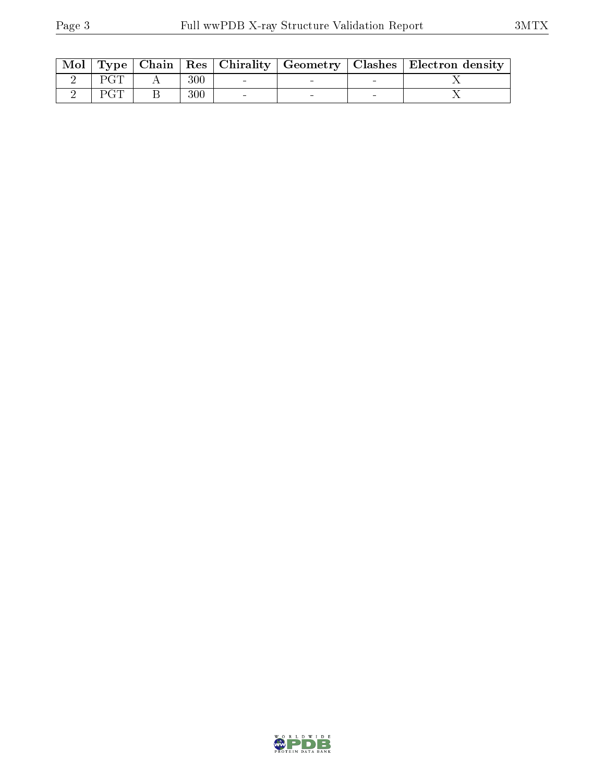|  |         |  | $\mid$ Mol $\mid$ Type $\mid$ Chain $\mid$ Res $\mid$ Chirality $\mid$ Geometry $\mid$ Clashes $\mid$ Electron density $\mid$ |
|--|---------|--|-------------------------------------------------------------------------------------------------------------------------------|
|  | 300     |  |                                                                                                                               |
|  | $300\,$ |  |                                                                                                                               |

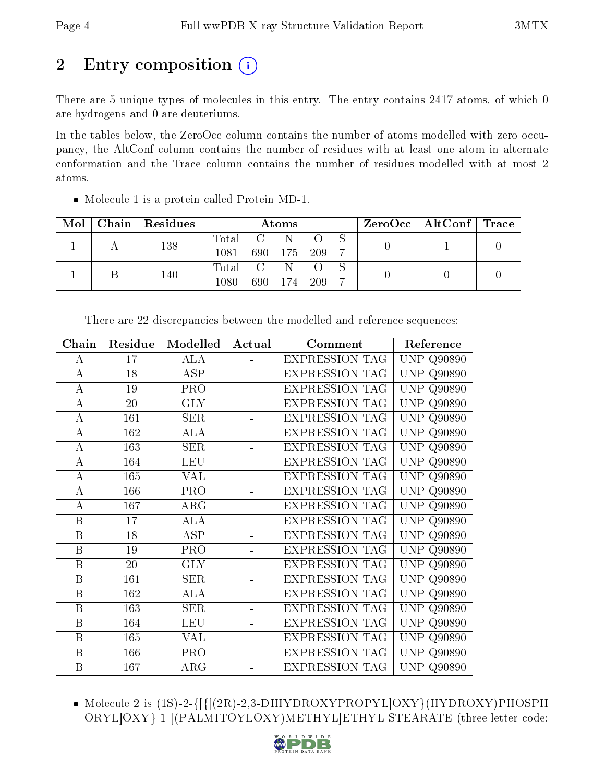## 2 Entry composition  $\left( \cdot \right)$

There are 5 unique types of molecules in this entry. The entry contains 2417 atoms, of which 0 are hydrogens and 0 are deuteriums.

In the tables below, the ZeroOcc column contains the number of atoms modelled with zero occupancy, the AltConf column contains the number of residues with at least one atom in alternate conformation and the Trace column contains the number of residues modelled with at most 2 atoms.

| Mol | $Chain$ Residues | Atoms   |         |         |       | ZeroOcc   AltConf   Trace |  |  |  |
|-----|------------------|---------|---------|---------|-------|---------------------------|--|--|--|
|     | 138              | Total C |         | N.      |       |                           |  |  |  |
|     |                  | 1081    |         | 690 175 | - 209 |                           |  |  |  |
|     | 140              | Total C |         | N.      |       |                           |  |  |  |
|     |                  | 1080.   | 690 174 |         | - 209 |                           |  |  |  |

• Molecule 1 is a protein called Protein MD-1.

| Chain                   | Residue | Modelled   | Actual                   | Comment               | Reference            |
|-------------------------|---------|------------|--------------------------|-----------------------|----------------------|
| А                       | 17      | <b>ALA</b> |                          | <b>EXPRESSION TAG</b> | Q90890<br>UNP        |
| $\bf{A}$                | 18      | <b>ASP</b> | ÷.                       | <b>EXPRESSION TAG</b> | UNP<br>Q90890        |
| $\bf{A}$                | 19      | PRO        | $\overline{\phantom{0}}$ | <b>EXPRESSION TAG</b> | UNP<br>Q90890        |
| $\bf{A}$                | 20      | <b>GLY</b> | $\blacksquare$           | <b>EXPRESSION TAG</b> | UNP<br>Q90890        |
| $\bf{A}$                | 161     | SER        |                          | <b>EXPRESSION TAG</b> | <b>UNP</b><br>Q90890 |
| A                       | 162     | ALA        | Ξ.                       | <b>EXPRESSION TAG</b> | UNP<br>Q90890        |
| $\bf{A}$                | 163     | <b>SER</b> | $\overline{\phantom{0}}$ | <b>EXPRESSION TAG</b> | <b>UNP</b><br>Q90890 |
| $\bf{A}$                | 164     | LEU        | ÷,                       | <b>EXPRESSION TAG</b> | <b>UNP Q90890</b>    |
| А                       | 165     | VAL        |                          | <b>EXPRESSION TAG</b> | <b>UNP</b><br>Q90890 |
| $\bf{A}$                | 166     | <b>PRO</b> | ÷.                       | <b>EXPRESSION TAG</b> | <b>UNP</b><br>Q90890 |
| $\bf{A}$                | 167     | $\rm{ARG}$ | $\overline{\phantom{0}}$ | <b>EXPRESSION TAG</b> | <b>UNP</b><br>Q90890 |
| B                       | 17      | ALA        | ÷,                       | <b>EXPRESSION TAG</b> | <b>UNP</b><br>Q90890 |
| B                       | 18      | ASP        |                          | <b>EXPRESSION TAG</b> | <b>UNP</b><br>Q90890 |
| B                       | 19      | PRO        |                          | <b>EXPRESSION TAG</b> | <b>UNP</b><br>Q90890 |
| $\overline{\mathrm{B}}$ | 20      | <b>GLY</b> | $\equiv$                 | <b>EXPRESSION TAG</b> | <b>UNP</b><br>Q90890 |
| $\, {\bf B}$            | 161     | SER        | $\blacksquare$           | <b>EXPRESSION TAG</b> | UNP<br>Q90890        |
| B                       | 162     | ALA        | ÷                        | <b>EXPRESSION TAG</b> | <b>UNP</b><br>Q90890 |
| B                       | 163     | SER        |                          | <b>EXPRESSION TAG</b> | <b>UNP</b><br>Q90890 |
| $\, {\bf B}$            | 164     | <b>LEU</b> | $\overline{\phantom{0}}$ | <b>EXPRESSION TAG</b> | <b>UNP</b><br>Q90890 |
| $\, {\bf B}$            | 165     | VAL        | ÷,                       | <b>EXPRESSION TAG</b> | <b>UNP</b><br>Q90890 |
| B                       | 166     | <b>PRO</b> | $\equiv$                 | <b>EXPRESSION TAG</b> | UNP<br>Q90890        |
| B                       | 167     | $\rm{ARG}$ |                          | <b>EXPRESSION TAG</b> | <b>UNP Q90890</b>    |

There are 22 discrepancies between the modelled and reference sequences:

 Molecule 2 is (1S)-2-{[{[(2R)-2,3-DIHYDROXYPROPYL]OXY}(HYDROXY)PHOSPH ORYL]OXY}-1-[(PALMITOYLOXY)METHYL]ETHYL STEARATE (three-letter code:

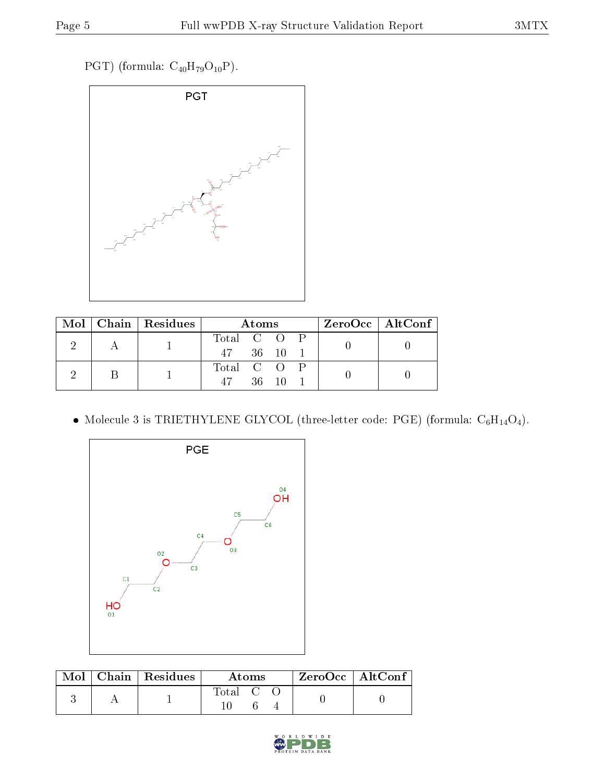PGT) (formula:  $C_{40}H_{79}O_{10}P$ ).



| Mol |  | Chain   Residues | <b>Atoms</b>            | $ZeroOcc$   AltConf |  |
|-----|--|------------------|-------------------------|---------------------|--|
|     |  |                  | Total C O P             |                     |  |
|     |  | 47 36 10 1       |                         |                     |  |
|     |  |                  | Total C O P             |                     |  |
|     |  |                  | $36 - 10$<br>$\Delta 7$ |                     |  |

 $\bullet$  Molecule 3 is TRIETHYLENE GLYCOL (three-letter code: PGE) (formula:  $\mathrm{C}_6\mathrm{H}_{14}\mathrm{O}_4).$ 



|  | $\text{Mol}$   Chain   Residues | Atoms     |  |  | $ZeroOcc \   \ AltConf$ |  |
|--|---------------------------------|-----------|--|--|-------------------------|--|
|  |                                 | Total C C |  |  |                         |  |

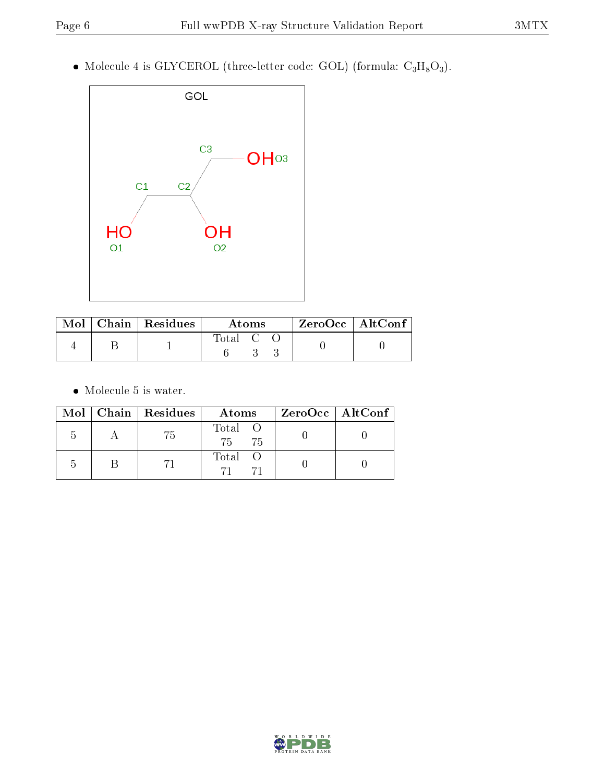• Molecule 4 is GLYCEROL (three-letter code: GOL) (formula:  $C_3H_8O_3$ ).



| Mol | Chain   Residues | Atoms    | $ZeroOcc$   AltConf |  |
|-----|------------------|----------|---------------------|--|
|     |                  | l'otal C |                     |  |

 $\bullet\,$  Molecule 5 is water.

|  | Mol   Chain   Residues | Atoms            | ZeroOcc   AltConf |
|--|------------------------|------------------|-------------------|
|  | 75                     | Total O<br>75 75 |                   |
|  |                        | Total O          |                   |

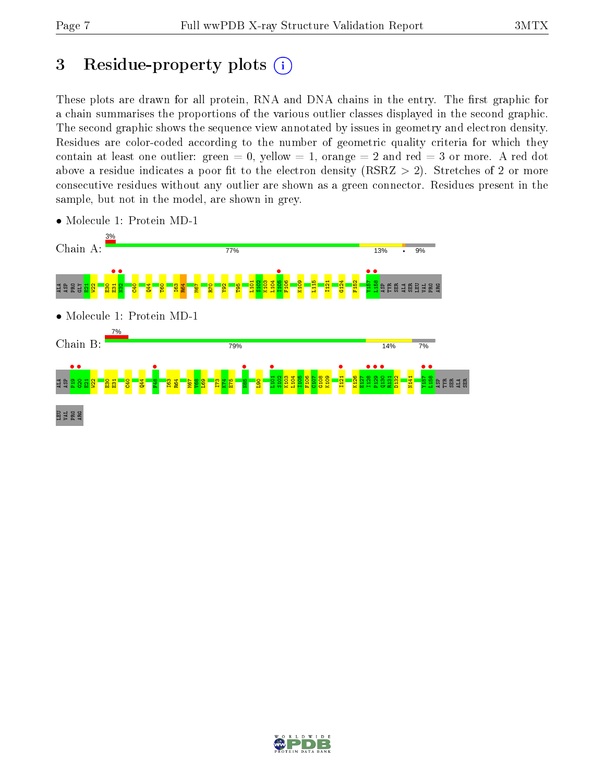## 3 Residue-property plots  $(i)$

These plots are drawn for all protein, RNA and DNA chains in the entry. The first graphic for a chain summarises the proportions of the various outlier classes displayed in the second graphic. The second graphic shows the sequence view annotated by issues in geometry and electron density. Residues are color-coded according to the number of geometric quality criteria for which they contain at least one outlier: green  $= 0$ , yellow  $= 1$ , orange  $= 2$  and red  $= 3$  or more. A red dot above a residue indicates a poor fit to the electron density (RSRZ  $> 2$ ). Stretches of 2 or more consecutive residues without any outlier are shown as a green connector. Residues present in the sample, but not in the model, are shown in grey.



• Molecule 1: Protein MD-1

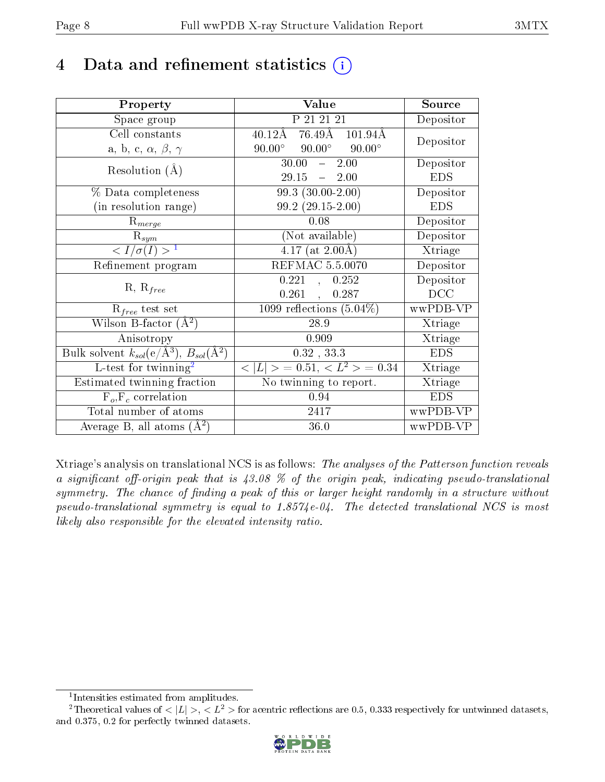## 4 Data and refinement statistics  $(i)$

| Property                                                             | Value                                             | Source     |
|----------------------------------------------------------------------|---------------------------------------------------|------------|
| Space group                                                          | P 21 21 21                                        | Depositor  |
| Cell constants                                                       | $76.49\text{\AA}$ 101.94Å<br>$40.12\text{\AA}$    | Depositor  |
| a, b, c, $\alpha$ , $\beta$ , $\gamma$                               | $90.00^\circ$<br>$90.00^{\circ}$<br>$90.00^\circ$ |            |
| Resolution $(A)$                                                     | 30.00<br>2.00<br>$\frac{1}{2}$                    | Depositor  |
|                                                                      | $29.15 - 2.00$                                    | <b>EDS</b> |
| $\%$ Data completeness                                               | $99.3(30.00-2.00)$                                | Depositor  |
| (in resolution range)                                                | $99.2(29.15-2.00)$                                | <b>EDS</b> |
| $\mathrm{R}_{merge}$                                                 | 0.08                                              | Depositor  |
| $\mathrm{R}_{sym}$                                                   | (Not available)                                   | Depositor  |
| $\langle I/\sigma(I) \rangle^{-1}$                                   | $4.17$ (at 2.00Å)                                 | Xtriage    |
| Refinement program                                                   | <b>REFMAC 5.5.0070</b>                            | Depositor  |
|                                                                      | 0.221<br>0.252<br>$\mathcal{A}$                   | Depositor  |
| $R, R_{free}$                                                        | 0.261<br>0.287<br>$\frac{1}{2}$                   | DCC        |
| $R_{free}$ test set                                                  | 1099 reflections $(5.04\%)$                       | wwPDB-VP   |
| Wilson B-factor $(A^2)$                                              | 28.9                                              | Xtriage    |
| Anisotropy                                                           | 0.909                                             | Xtriage    |
| Bulk solvent $k_{sol}(e/\mathring{A}^3)$ , $B_{sol}(\mathring{A}^2)$ | $0.32$ , $33.3$                                   | <b>EDS</b> |
| L-test for $\overline{\text{twinning}}^2$                            | $< L >$ = 0.51, $< L2 >$ = 0.34                   | Xtriage    |
| Estimated twinning fraction                                          | No twinning to report.                            | Xtriage    |
| $\overline{F_o}, \overline{F_c}$ correlation                         | 0.94                                              | <b>EDS</b> |
| Total number of atoms                                                | 2417                                              | wwPDB-VP   |
| Average B, all atoms $(A^2)$                                         | 36.0                                              | wwPDB-VP   |

Xtriage's analysis on translational NCS is as follows: The analyses of the Patterson function reveals a significant off-origin peak that is  $43.08\%$  of the origin peak, indicating pseudo-translational symmetry. The chance of finding a peak of this or larger height randomly in a structure without pseudo-translational symmetry is equal to 1.8574e-04. The detected translational NCS is most likely also responsible for the elevated intensity ratio.

<sup>&</sup>lt;sup>2</sup>Theoretical values of  $\langle |L| \rangle$ ,  $\langle L^2 \rangle$  for acentric reflections are 0.5, 0.333 respectively for untwinned datasets, and 0.375, 0.2 for perfectly twinned datasets.



<span id="page-7-1"></span><span id="page-7-0"></span><sup>1</sup> Intensities estimated from amplitudes.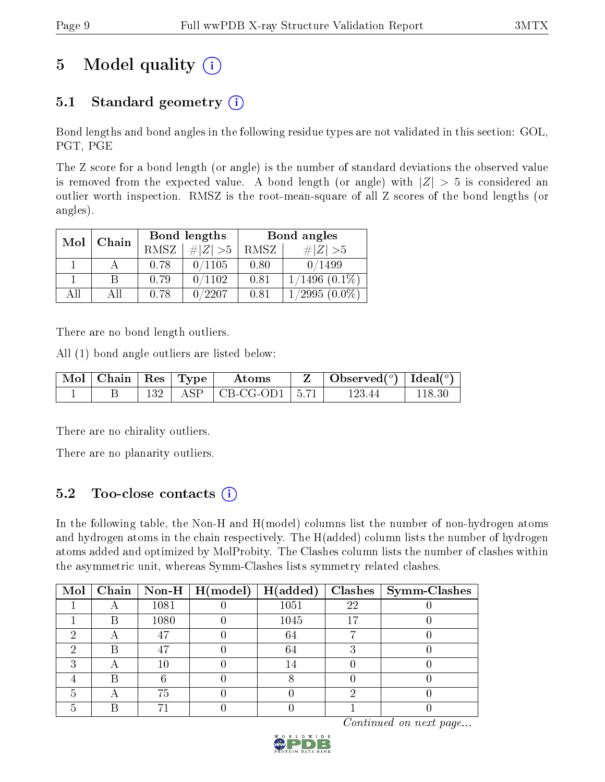## 5 Model quality  $(i)$

## 5.1 Standard geometry  $(i)$

Bond lengths and bond angles in the following residue types are not validated in this section: GOL, PGT, PGE

The Z score for a bond length (or angle) is the number of standard deviations the observed value is removed from the expected value. A bond length (or angle) with  $|Z| > 5$  is considered an outlier worth inspection. RMSZ is the root-mean-square of all Z scores of the bond lengths (or angles).

| Mol | Chain |             | Bond lengths | Bond angles |                    |  |
|-----|-------|-------------|--------------|-------------|--------------------|--|
|     |       | <b>RMSZ</b> | $\# Z  > 5$  | RMSZ        | $\# Z  > 5$        |  |
|     |       | 0.78        | 0/1105       | 0.80        | 0/1499             |  |
|     | В     | 0.79        | 0/1102       | 0.81        | $1/1496$ $(0.1\%)$ |  |
| ΔH  | ΑH    | 0.78        | 0/2207       | 0.81        | $(2995\ (0.0\%)$   |  |

There are no bond length outliers.

All (1) bond angle outliers are listed below:

| $\mid$ Mol $\mid$ Chain $\mid$ Res $\mid$ Type |     | $\boldsymbol{\mathrm{Atoms}}$              | Observed $(^\circ)$   Ideal $(^\circ)$ |         |
|------------------------------------------------|-----|--------------------------------------------|----------------------------------------|---------|
|                                                | 132 | $\vert$ ASP $\vert$ CB-CG-OD1 $\vert$ 5.71 | 123 44                                 | -118-30 |

There are no chirality outliers.

There are no planarity outliers.

### 5.2 Too-close contacts (i)

In the following table, the Non-H and H(model) columns list the number of non-hydrogen atoms and hydrogen atoms in the chain respectively. The H(added) column lists the number of hydrogen atoms added and optimized by MolProbity. The Clashes column lists the number of clashes within the asymmetric unit, whereas Symm-Clashes lists symmetry related clashes.

|  |      | Mol   Chain   Non-H   $H (model)$   $H (added)$ |      |    | $Clashes$   Symm-Clashes |
|--|------|-------------------------------------------------|------|----|--------------------------|
|  | 1081 |                                                 | 1051 | 22 |                          |
|  | 1080 |                                                 | 1045 |    |                          |
|  |      |                                                 | 64   |    |                          |
|  |      |                                                 | 64   |    |                          |
|  |      |                                                 | 14   |    |                          |
|  |      |                                                 |      |    |                          |
|  | 75   |                                                 |      |    |                          |
|  |      |                                                 |      |    |                          |

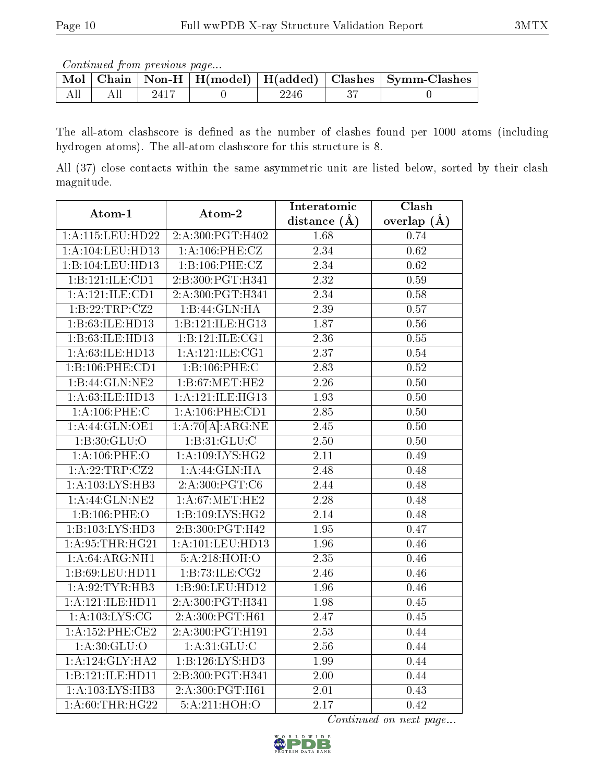Continued from previous page...

|  |        |      | Mol   Chain   Non-H   H(model)   H(added)   Clashes   Symm-Clashes |
|--|--------|------|--------------------------------------------------------------------|
|  | $-241$ | 2246 |                                                                    |

The all-atom clashscore is defined as the number of clashes found per 1000 atoms (including hydrogen atoms). The all-atom clashscore for this structure is 8.

All (37) close contacts within the same asymmetric unit are listed below, sorted by their clash magnitude.

| Atom-1             | Atom-2                      | Interatomic       | Clash             |
|--------------------|-----------------------------|-------------------|-------------------|
|                    |                             | distance $(A)$    | overlap $(\AA)$   |
| 1:A:115:LEU:HD22   | 2:A:300:PGT:H402            | 1.68              | 0.74              |
| 1:A:104:LEU:HD13   | 1: A: 106: PHE: CZ          | 2.34              | $\overline{0.62}$ |
| 1:B:104:LEU:HD13   | 1:B:106:PHE:CZ              | 2.34              | $0.62\,$          |
| 1:B:121:ILE:CD1    | 2:B:300:PGT:H341            | $\overline{2.32}$ | 0.59              |
| 1:A:121:ILE:CD1    | 2:A:300:PGT:H341            | 2.34              | 0.58              |
| 1:B:22:TRP:CZ2     | 1:B:44:GLN:HA               | $\overline{2.39}$ | $\overline{0.57}$ |
| 1:B:63:ILE:HD13    | 1:B:121:ILE:HG13            | 1.87              | 0.56              |
| 1:B:63:ILE:HD13    | 1:B:121:ILE:CG1             | 2.36              | 0.55              |
| 1:A:63:ILE:HD13    | 1: A:121: ILE:CG1           | 2.37              | 0.54              |
| 1:B:106:PHE:CD1    | 1:B:106:PHE:C               | 2.83              | 0.52              |
| 1:B:44:GLN:NE2     | 1:B:67:MET:HE2              | 2.26              | 0.50              |
| 1:A:63:ILE:HD13    | 1:A:121:ILE:HG13            | 1.93              | 0.50              |
| 1:A:106:PHE:C      | $1: A:106:$ PHE:CD1         | 2.85              | $\overline{0.50}$ |
| 1: A:44: GLN:OE1   | 1:A:70[A]:ARG:NE            | 2.45              | 0.50              |
| 1:B:30:GLU:O       | 1:B:31:GLU:C                | 2.50              | 0.50              |
| 1: A:106:PHE:O     | 1: A:109: LYS: HG2          | 2.11              | 0.49              |
| 1:A:22:TRP:CZ2     | 1:A:44:GLN:HA               | 2.48              | 0.48              |
| 1:A:103:LYS:HB3    | $2:A:300:\overline{PGT:CG}$ | 2.44              | 0.48              |
| 1:A:44:GLN:NE2     | 1: A:67: MET:HE2            | $\overline{2.28}$ | 0.48              |
| 1:B:106:PHE:O      | 1:B:109:LYS:HG2             | 2.14              | 0.48              |
| 1:B:103:LYS:HD3    | 2:B:300:PGT:H42             | $\overline{1.95}$ | 0.47              |
| 1: A:95:THR:HG21   | 1:A:101:LEU:HD13            | 1.96              | 0.46              |
| 1:A:64:ARG:NH1     | 5:A:218:HOH:O               | 2.35              | 0.46              |
| 1:B:69:LEU:HD11    | 1: B:73: ILE: CG2           | 2.46              | 0.46              |
| 1:A:92:TYR:HB3     | 1:B:90:LEU:HD12             | 1.96              | 0.46              |
| 1:A:121:ILE:HD11   | 2:A:300:PGT:H341            | 1.98              | 0.45              |
| 1: A: 103: LYS: CG | 2:A:300:PGT:H61             | $\overline{2.47}$ | 0.45              |
| 1: A:152:PHE:CE2   | 2:A:300:PGT:H191            | $\overline{2.53}$ | 0.44              |
| 1: A:30: GLU:O     | 1: A:31: GLU: C             | 2.56              | 0.44              |
| 1:A:124:GLY:HA2    | 1:B:126:LYS:HD3             | 1.99              | 0.44              |
| 1:B:121:ILE:HD11   | 2:B:300:PGT:H341            | 2.00              | 0.44              |
| 1:A:103:LYS:HB3    | 2:A:300:PGT:H61             | 2.01              | 0.43              |
| 1:A:60:THR:HG22    | 5:A:211:HOH:O               | $\overline{2.17}$ | 0.42              |

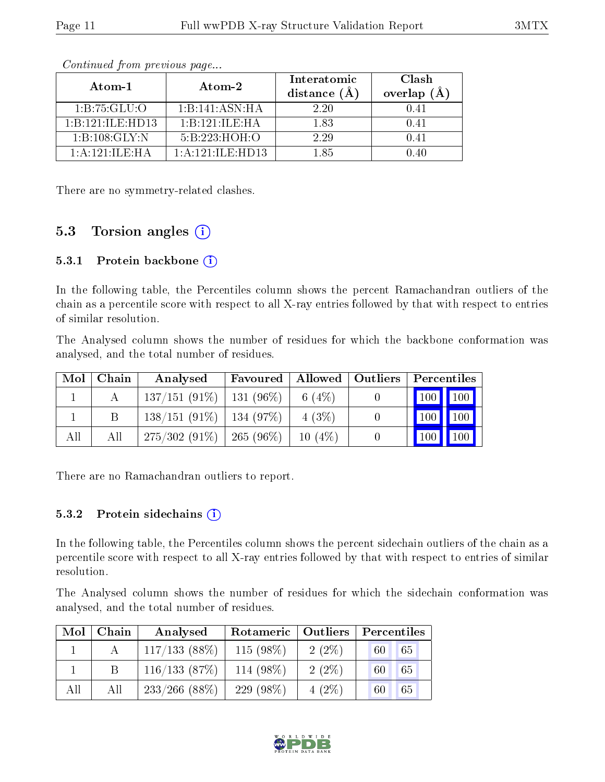| Atom-1                      | Atom-2                                          | Interatomic<br>distance (A | Clash<br>overlap<br>(A) |  |
|-----------------------------|-------------------------------------------------|----------------------------|-------------------------|--|
| 1: B: 75: GLU: O            | 1:B:141:ASN:HA                                  | 2.20                       | 0.41                    |  |
| 1:B:121:II.E:HD13           | $1 \cdot B \cdot 121 \cdot H \cdot F \cdot H$ A | 1 83                       | 0.41                    |  |
| 1: B: 108: GLY:N            | 5:B:223:HOH:O                                   | 2.29                       | () 4 I                  |  |
| $1:$ A $:121:$ IL E $:$ H A | 1: A: 121: ILE: HD13                            | 1 85                       | 140                     |  |

Continued from previous page...

There are no symmetry-related clashes.

#### 5.3 Torsion angles (i)

#### 5.3.1 Protein backbone  $(i)$

In the following table, the Percentiles column shows the percent Ramachandran outliers of the chain as a percentile score with respect to all X-ray entries followed by that with respect to entries of similar resolution.

The Analysed column shows the number of residues for which the backbone conformation was analysed, and the total number of residues.

| Mol | Chain | Analysed                      | Favoured    |           | Allowed   Outliers   Percentiles |  |  |
|-----|-------|-------------------------------|-------------|-----------|----------------------------------|--|--|
|     |       | $137/151(91\%)$   131 (96\%)  |             | 6 $(4%)$  | $\mid$ 100 $\mid$ 100 $\mid$     |  |  |
|     |       | $138/151$ (91\%)   134 (97\%) |             | $4(3\%)$  | 100<br>100                       |  |  |
| All | All   | $275/302(91\%)$               | $265(96\%)$ | $10(4\%)$ | 100<br>100                       |  |  |

There are no Ramachandran outliers to report.

#### 5.3.2 Protein sidechains  $\left( \mathbf{i} \right)$

In the following table, the Percentiles column shows the percent sidechain outliers of the chain as a percentile score with respect to all X-ray entries followed by that with respect to entries of similar resolution.

The Analysed column shows the number of residues for which the sidechain conformation was analysed, and the total number of residues.

| Mol | Chain | Analysed         | Rotameric   Outliers |          | Percentiles |  |  |
|-----|-------|------------------|----------------------|----------|-------------|--|--|
|     |       | 117/133(88%)     | $115(98\%)$          | $2(2\%)$ | 65<br>-60   |  |  |
|     |       | 116/133(87%)     | 114 (98%)            | $2(2\%)$ | 65<br>-60   |  |  |
| All | All   | $233/266$ (88\%) | 229 $(98\%)$         | $4(2\%)$ | 60<br>65    |  |  |

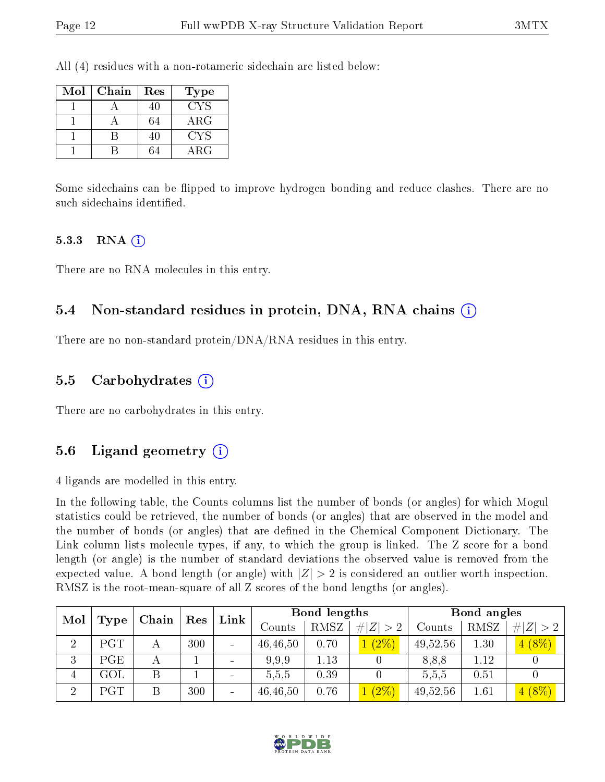All (4) residues with a non-rotameric sidechain are listed below:

| Mol | Chain | Res | Type       |
|-----|-------|-----|------------|
|     |       |     | CYS        |
|     |       | 64  | $\rm{ARG}$ |
|     |       | 40  | CYS        |
|     |       |     | $\rm{ARG}$ |

Some sidechains can be flipped to improve hydrogen bonding and reduce clashes. There are no such sidechains identified.

#### $5.3.3$  RNA  $(i)$

There are no RNA molecules in this entry.

#### 5.4 Non-standard residues in protein, DNA, RNA chains (i)

There are no non-standard protein/DNA/RNA residues in this entry.

#### 5.5 Carbohydrates (i)

There are no carbohydrates in this entry.

#### 5.6 Ligand geometry  $(i)$

4 ligands are modelled in this entry.

In the following table, the Counts columns list the number of bonds (or angles) for which Mogul statistics could be retrieved, the number of bonds (or angles) that are observed in the model and the number of bonds (or angles) that are defined in the Chemical Component Dictionary. The Link column lists molecule types, if any, to which the group is linked. The Z score for a bond length (or angle) is the number of standard deviations the observed value is removed from the expected value. A bond length (or angle) with  $|Z| > 2$  is considered an outlier worth inspection. RMSZ is the root-mean-square of all Z scores of the bond lengths (or angles).

|                | Mol<br>Chain<br>Type |   | Res | Link     | Bond lengths |      |            |          | Bond angles |               |  |
|----------------|----------------------|---|-----|----------|--------------|------|------------|----------|-------------|---------------|--|
|                |                      |   |     |          | Counts       | RMSZ | # Z <br>>2 | Counts   | RMSZ        | $\# Z $<br>>2 |  |
| ച              | PGT                  |   | 300 | $\equiv$ | 46,46,50     | 0.70 | (2%)       | 49,52,56 | 1.30        | $4(8\%)$      |  |
| 3              | PGE                  |   |     |          | 9.9.9        | 1.13 |            | 8,8,8    | 1.12        |               |  |
| $\overline{4}$ | $\rm GOL$            |   |     |          | 5,5,5        | 0.39 |            | 5,5,5    | 0.51        |               |  |
| $\overline{2}$ | PGT                  | B | 300 |          | 46,46,50     | 0.76 | $(2\%)$    | 49,52,56 | 1.61        | $4(8\%)$      |  |

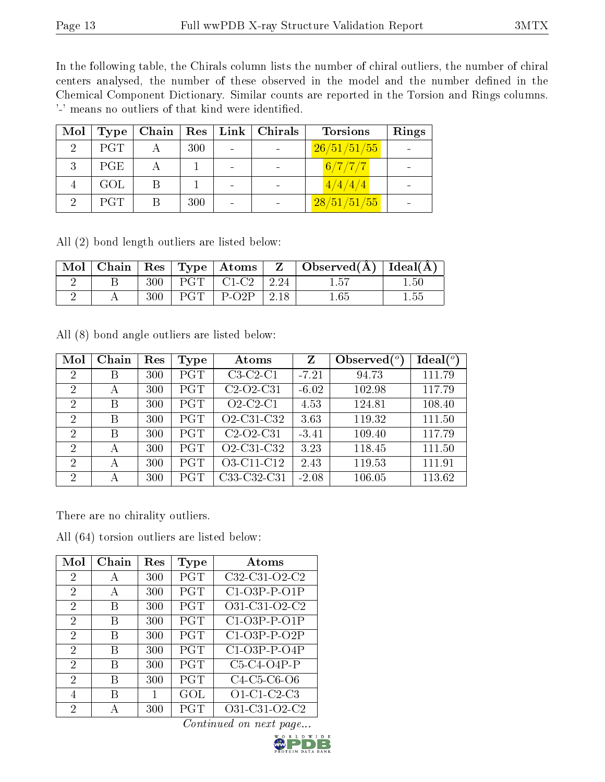In the following table, the Chirals column lists the number of chiral outliers, the number of chiral centers analysed, the number of these observed in the model and the number defined in the Chemical Component Dictionary. Similar counts are reported in the Torsion and Rings columns. '-' means no outliers of that kind were identified.

| Mol | Type       | Chain   $\text{Res}$ |     | Link   Chirals | <b>Torsions</b> | Rings |
|-----|------------|----------------------|-----|----------------|-----------------|-------|
|     | <b>PGT</b> |                      | 300 |                | 26/51/51/55     |       |
|     | PGE.       |                      |     |                | 6/7/7/7         |       |
|     | GOL        |                      |     |                | 4/4/4/4         |       |
|     | <b>PGT</b> |                      | 300 |                | 28/51/51/55     |       |

All (2) bond length outliers are listed below:

|  |     | $\mid$ Mol $\mid$ Chain $\mid$ Res $\mid$ Type $\mid$ Atoms $\mid$ | $Z \mid$ Observed( $A$ )   Ideal( $A$ ) |      |
|--|-----|--------------------------------------------------------------------|-----------------------------------------|------|
|  | 300 | $\Gamma$ PGT $\parallel$ C1-C2 $\parallel$ 2.24                    | 1.57                                    | 1.50 |
|  | 300 | $PGT$   P-O2P   2.18                                               | 1.65                                    |      |

All (8) bond angle outliers are listed below:

| Mol            | Chain | Res | Type       | Atoms                                            | Z       | Observed $(°)$ | Ideal $(^{\circ}$ |
|----------------|-------|-----|------------|--------------------------------------------------|---------|----------------|-------------------|
| $\overline{2}$ | Β     | 300 | PGT        | $C3-C2-C1$                                       | $-7.21$ | 94.73          | 111.79            |
| $\overline{2}$ | А     | 300 | <b>PGT</b> | $C2-O2-C31$                                      | $-6.02$ | 102.98         | 117.79            |
| $\overline{2}$ | В     | 300 | <b>PGT</b> | $O2-C2-C1$                                       | 4.53    | 124.81         | 108.40            |
| $\overline{2}$ | В     | 300 | PGT        | O <sub>2</sub> -C <sub>31</sub> -C <sub>32</sub> | 3.63    | 119.32         | 111.50            |
| $\overline{2}$ | В     | 300 | PGT        | $C2-O2-C31$                                      | $-3.41$ | 109.40         | 117.79            |
| 2              | А     | 300 | <b>PGT</b> | O <sub>2</sub> -C <sub>31</sub> -C <sub>32</sub> | 3.23    | 118.45         | 111.50            |
| $\mathcal{D}$  | А     | 300 | PGT        | O3-C11-C12                                       | 2.43    | 119.53         | 111.91            |
| $\overline{2}$ | А     | 300 | PGT        | C33-C32-C31                                      | $-2.08$ | 106.05         | 113.62            |

There are no chirality outliers.

All (64) torsion outliers are listed below:

| Mol            | Chain | Res | Type       | Atoms                                                          |
|----------------|-------|-----|------------|----------------------------------------------------------------|
| 2              | А     | 300 | PGT        | C32-C31-O2-C2                                                  |
| $\overline{2}$ | А     | 300 | PGT        | $C1-O3P-P-O1P$                                                 |
| 2              | B     | 300 | PGT        | O31-C31-O2-C2                                                  |
| $\overline{2}$ | В     | 300 | PGT        | C1-O3P-P-O1P                                                   |
| $\mathcal{D}$  | В     | 300 | PGT        | $C1-O3P-P-O2P$                                                 |
| $\overline{2}$ | В     | 300 | PGT        | $C1-O3P-P-O4P$                                                 |
| $\overline{2}$ | В     | 300 | PGT        | $C5-C4-O4P-P$                                                  |
| $\mathcal{D}$  | В     | 300 | PGT        | C <sub>4</sub> -C <sub>5</sub> -C <sub>6</sub> -O <sub>6</sub> |
| 4              | В     | 1   | GOL        | O1-C1-C2-C3                                                    |
| 2              | А     | 300 | <b>PGT</b> | O31-C31-O2-C2                                                  |

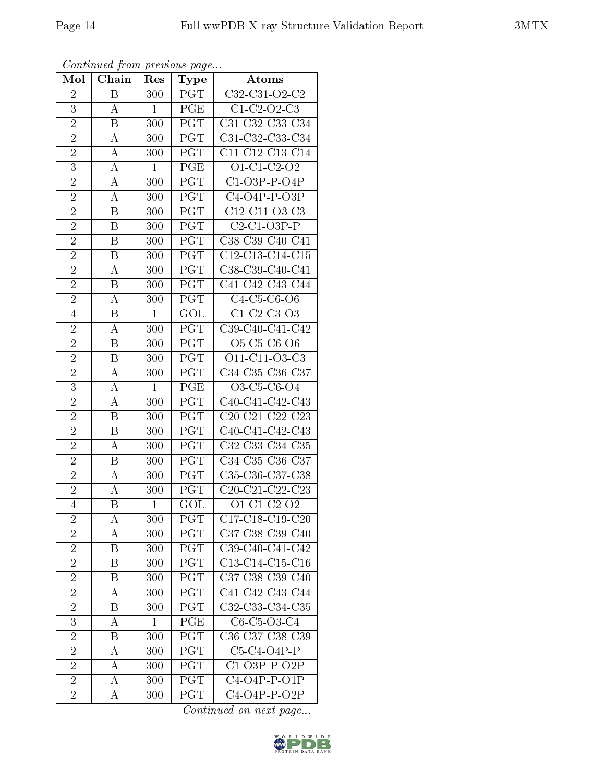| Mol            | Chain                   | $\operatorname{Res}% \left\vert \mathcal{H}\right\vert =\operatorname*{Res}_{\left\vert \mathcal{H}\right\vert }% \left\vert \mathcal{H}% \right\vert =\operatorname*{Res}_{\left\vert \mathcal{H}% \right\vert }% \left\vert \mathcal{H}% \right\vert =\operatorname*{R}\left( \left\vert \mathcal{H}% \right\vert \right)$ | <b>Type</b>             | Atoms                           |
|----------------|-------------------------|------------------------------------------------------------------------------------------------------------------------------------------------------------------------------------------------------------------------------------------------------------------------------------------------------------------------------|-------------------------|---------------------------------|
| $\overline{2}$ | B                       | 300                                                                                                                                                                                                                                                                                                                          | PGT                     | C32-C31-O2-C2                   |
| 3              | A                       | $\mathbf{1}$                                                                                                                                                                                                                                                                                                                 | PGE                     | $C1-C2-C3$                      |
| $\overline{2}$ | B                       | 300                                                                                                                                                                                                                                                                                                                          | $\overline{\text{PGT}}$ | C31-C32-C33-C34                 |
| $\overline{2}$ | $\boldsymbol{A}$        | 300                                                                                                                                                                                                                                                                                                                          | PGT                     | C31-C32-C33-C34                 |
| $\overline{2}$ | A                       | 300                                                                                                                                                                                                                                                                                                                          | $\overline{PGT}$        | C11-C12-C13-C14                 |
| 3              | A                       | $\mathbf{1}$                                                                                                                                                                                                                                                                                                                 | PGE                     | O1-C1-C2-O2                     |
| $\overline{2}$ | А                       | 300                                                                                                                                                                                                                                                                                                                          | $\overline{\text{PGT}}$ | $C1-O3P-P-O4P$                  |
| $\overline{2}$ | А                       | 300                                                                                                                                                                                                                                                                                                                          | PGT                     | $C4-O4P-P-O3P$                  |
| $\overline{2}$ | B                       | 300                                                                                                                                                                                                                                                                                                                          | PGT                     | C12-C11-O3-C3                   |
| $\overline{2}$ | B                       | 300                                                                                                                                                                                                                                                                                                                          | $\overline{PGT}$        | $C2-C1-O3P-P$                   |
| $\overline{2}$ | $\boldsymbol{B}$        | 300                                                                                                                                                                                                                                                                                                                          | PGT                     | C38-C39-C40-C41                 |
| $\overline{2}$ | Β                       | 300                                                                                                                                                                                                                                                                                                                          | PGT                     | $C12-C13-C14-C15$               |
| $\overline{2}$ | А                       | 300                                                                                                                                                                                                                                                                                                                          | PGT                     | C38-C39-C40-C41                 |
| $\overline{2}$ | Β                       | 300                                                                                                                                                                                                                                                                                                                          | PGT                     | C41-C42-C43-C44                 |
| $\overline{2}$ | А                       | 300                                                                                                                                                                                                                                                                                                                          | $\overline{PGT}$        | C4-C5-C6-O6                     |
| $\overline{4}$ | B                       | $\mathbf{1}$                                                                                                                                                                                                                                                                                                                 | GOL                     | $C1-C2-C3-O3$                   |
| $\overline{2}$ | А                       | 300                                                                                                                                                                                                                                                                                                                          | $\overline{PGT}$        | C39-C40-C41-C42                 |
| $\overline{2}$ | B                       | 300                                                                                                                                                                                                                                                                                                                          | PGT                     | O5-C5-C6-O6                     |
| $\overline{2}$ | B                       | 300                                                                                                                                                                                                                                                                                                                          | PGT                     | O11-C11-O3-C3                   |
| $\overline{2}$ | A                       | 300                                                                                                                                                                                                                                                                                                                          | PGT                     | C34-C35-C36-C37                 |
| 3              | A                       | $\mathbf{1}$                                                                                                                                                                                                                                                                                                                 | PGE                     | O3-C5-C6-O4                     |
| $\overline{2}$ | $\overline{\rm A}$      | 300                                                                                                                                                                                                                                                                                                                          | $\overline{PGT}$        | C40-C41-C42-C43                 |
| $\overline{2}$ | Β                       | 300                                                                                                                                                                                                                                                                                                                          | PGT                     | C20-C21-C22-C23                 |
| $\overline{2}$ | $\overline{\mathrm{B}}$ | 300                                                                                                                                                                                                                                                                                                                          | $\overline{\text{PGT}}$ | C40-C41-C42-C43                 |
| $\overline{2}$ | А                       | 300                                                                                                                                                                                                                                                                                                                          | PGT                     | C32-C33-C34-C35                 |
| $\overline{2}$ | B                       | 300                                                                                                                                                                                                                                                                                                                          | PGT                     | C34-C35-C36-C37                 |
| $\overline{2}$ | А                       | 300                                                                                                                                                                                                                                                                                                                          | PGT                     | $C35-C36-C37-C38$               |
| $\overline{2}$ | А                       | 300                                                                                                                                                                                                                                                                                                                          | PGT                     | C20-C21-C22-C23                 |
| $\overline{4}$ | Β                       | $\mathbf{1}$                                                                                                                                                                                                                                                                                                                 | $\overline{\text{GOL}}$ | O1-C1-C2-O2                     |
| $\overline{2}$ | А                       | 300                                                                                                                                                                                                                                                                                                                          | PGT                     | C17-C18-C19-C20                 |
| $\overline{2}$ | А                       | 300                                                                                                                                                                                                                                                                                                                          | PGT                     | C37-C38-C39-C40                 |
| $\overline{2}$ | B                       | 300                                                                                                                                                                                                                                                                                                                          | PGT                     | C39-C40-C41-C42                 |
| $\overline{2}$ | Β                       | 300                                                                                                                                                                                                                                                                                                                          | PGT                     | $C13-C14-C15-C16$               |
| $\overline{2}$ | B                       | 300                                                                                                                                                                                                                                                                                                                          | PGT                     | C37-C38-C39-C40                 |
| $\overline{2}$ | А                       | 300                                                                                                                                                                                                                                                                                                                          | PGT                     | C41-C42-C43-C44                 |
| $\overline{2}$ | B                       | 300                                                                                                                                                                                                                                                                                                                          | PGT                     | C32-C33-C34-C35                 |
| 3              | А                       | $\mathbf{1}$                                                                                                                                                                                                                                                                                                                 | PGE                     | $\overline{\text{C6-C5-O3-C4}}$ |
| $\overline{2}$ | B                       | 300                                                                                                                                                                                                                                                                                                                          | PGT                     | C36-C37-C38-C39                 |
| $\overline{2}$ | A                       | 300                                                                                                                                                                                                                                                                                                                          | $\overline{PGT}$        | $C5-C4-O4P-P$                   |
| $\overline{2}$ | А                       | 300                                                                                                                                                                                                                                                                                                                          | PGT                     | $C1-O3P-P-O2P$                  |
| $\overline{2}$ | А                       | 300                                                                                                                                                                                                                                                                                                                          | $\overline{PGT}$        | $C4-O4P-P-O1P$                  |
| $\overline{2}$ | А                       | 300                                                                                                                                                                                                                                                                                                                          | PGT                     | $C4-O4P-P-O2P$                  |

Continued from previous page...

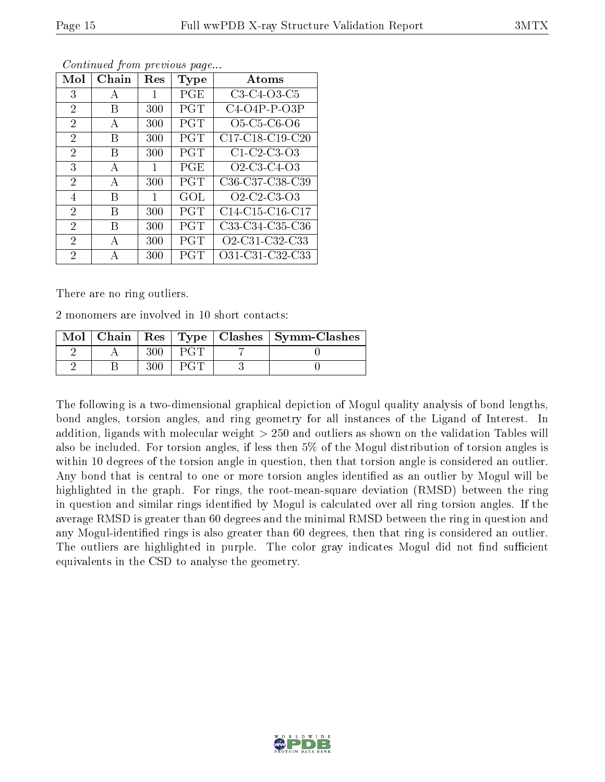| Mol            | Chain | Res | Type       | Atoms                                                          |
|----------------|-------|-----|------------|----------------------------------------------------------------|
| 3              | А     | 1   | PGE        | C3-C4-O3-C5                                                    |
| $\overline{2}$ | В     | 300 | <b>PGT</b> | $C4-O4P-P-O3P$                                                 |
| $\overline{2}$ | А     | 300 | <b>PGT</b> | O5-C5-C6-O6                                                    |
| $\overline{2}$ | В     | 300 | <b>PGT</b> | $C17-C18-C19-C20$                                              |
| $\overline{2}$ | В     | 300 | <b>PGT</b> | $C1$ $C2$ $C3$ $O3$                                            |
| 3              | A     | 1   | PGE        | O <sub>2</sub> -C <sub>3</sub> -C <sub>4</sub> -O <sub>3</sub> |
| 2              | A     | 300 | <b>PGT</b> | C36-C37-C38-C39                                                |
| 4              | В     | 1   | GOL        | $O2$ -C <sub>2</sub> -C <sub>3</sub> - $O3$                    |
| $\overline{2}$ | В     | 300 | PGT        | $C14-C15-C16-C17$                                              |
| $\overline{2}$ | В     | 300 | <b>PGT</b> | C33-C34-C35-C36                                                |
| $\overline{2}$ | А     | 300 | <b>PGT</b> | O2-C31-C32-C33                                                 |
| $\overline{2}$ | А     | 300 | <b>PGT</b> | O31-C31-C32-C33                                                |

Continued from previous page...

There are no ring outliers.

2 monomers are involved in 10 short contacts:

|  |  | Mol   Chain   Res   Type   Clashes   Symm-Clashes |
|--|--|---------------------------------------------------|
|  |  |                                                   |
|  |  |                                                   |

The following is a two-dimensional graphical depiction of Mogul quality analysis of bond lengths, bond angles, torsion angles, and ring geometry for all instances of the Ligand of Interest. In addition, ligands with molecular weight > 250 and outliers as shown on the validation Tables will also be included. For torsion angles, if less then 5% of the Mogul distribution of torsion angles is within 10 degrees of the torsion angle in question, then that torsion angle is considered an outlier. Any bond that is central to one or more torsion angles identified as an outlier by Mogul will be highlighted in the graph. For rings, the root-mean-square deviation (RMSD) between the ring in question and similar rings identified by Mogul is calculated over all ring torsion angles. If the average RMSD is greater than 60 degrees and the minimal RMSD between the ring in question and any Mogul-identified rings is also greater than 60 degrees, then that ring is considered an outlier. The outliers are highlighted in purple. The color gray indicates Mogul did not find sufficient equivalents in the CSD to analyse the geometry.

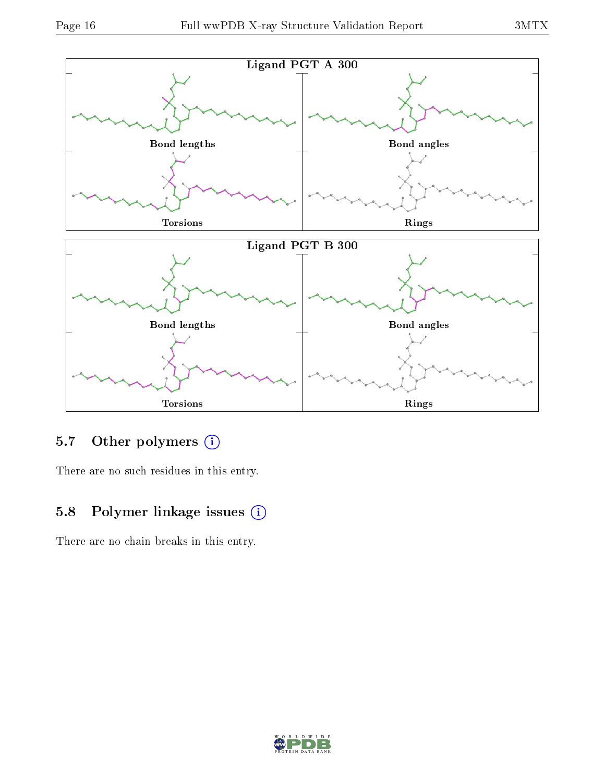

### 5.7 [O](https://www.wwpdb.org/validation/2017/XrayValidationReportHelp#nonstandard_residues_and_ligands)ther polymers (i)

There are no such residues in this entry.

### 5.8 Polymer linkage issues (i)

There are no chain breaks in this entry.

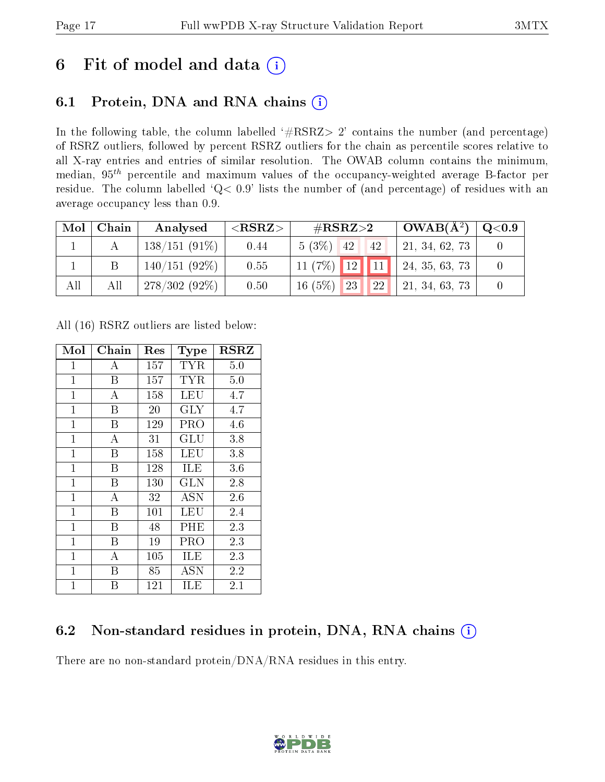## 6 Fit of model and data  $(i)$

### 6.1 Protein, DNA and RNA chains  $(i)$

In the following table, the column labelled  $#RSRZ> 2'$  contains the number (and percentage) of RSRZ outliers, followed by percent RSRZ outliers for the chain as percentile scores relative to all X-ray entries and entries of similar resolution. The OWAB column contains the minimum, median,  $95<sup>th</sup>$  percentile and maximum values of the occupancy-weighted average B-factor per residue. The column labelled ' $Q< 0.9$ ' lists the number of (and percentage) of residues with an average occupancy less than 0.9.

| Mol | Chain | Analysed        | $<$ RSRZ $>$ | $\rm \#RSRZ{>}2$                      | $\perp$ OWAB(Å <sup>2</sup> ) $\perp$ | $\mid$ Q<0.9 $\mid$ |
|-----|-------|-----------------|--------------|---------------------------------------|---------------------------------------|---------------------|
|     |       | $138/151(91\%)$ | 0.44         | $5(3\%)$ 42<br>42                     | 21, 34, 62, 73                        |                     |
|     |       | $140/151(92\%)$ | 0.55         | $11(7\%)$ 12 11 24, 35, 63, 73        |                                       |                     |
| All | All   | $278/302(92\%)$ | 0.50         | $\vert$ 23 $\vert$<br>$16(5\%)$<br>22 | 21, 34, 63, 73                        |                     |

All (16) RSRZ outliers are listed below:

| Mol          | Chain          | $\operatorname{Res}% \left( \mathcal{N}\right) \equiv\operatorname{Res}(\mathcal{N}_{0},\mathcal{N}_{0})$ | Type                 | <b>RSRZ</b> |
|--------------|----------------|-----------------------------------------------------------------------------------------------------------|----------------------|-------------|
| $\mathbf 1$  | А              | 157                                                                                                       | TYR                  | 5.0         |
| $\mathbf{1}$ | Β              | 157                                                                                                       | TYR                  | 5.0         |
| $\mathbf{1}$ | A              | 158                                                                                                       | LEU                  | 4.7         |
| $\mathbf 1$  | В              | 20                                                                                                        | GLY                  | 4.7         |
| $\mathbf{1}$ | B              | 129                                                                                                       | PRO                  | 4.6         |
| $\mathbf{1}$ | $\overline{A}$ | 31                                                                                                        | $\operatorname{GLU}$ | 3.8         |
| $\mathbf{1}$ | Β              | 158                                                                                                       | LEU                  | 3.8         |
| $\mathbf{1}$ | Β              | 128                                                                                                       | ILE                  | 3.6         |
| $\mathbf 1$  | Β              | 130                                                                                                       | $_{\rm GLN}$         | 2.8         |
| $\mathbf{1}$ | $\overline{A}$ | 32                                                                                                        | <b>ASN</b>           | 2.6         |
| $\mathbf{1}$ | B              | 101                                                                                                       | LEU                  | 2.4         |
| $\mathbf 1$  | В              | 48                                                                                                        | PHE                  | 2.3         |
| $\mathbf{1}$ | Β              | 19                                                                                                        | PRO                  | 2.3         |
| $\mathbf{1}$ | А              | 105                                                                                                       | ILE                  | 2.3         |
| $\mathbf 1$  | В              | 85                                                                                                        | <b>ASN</b>           | 2.2         |
| $\mathbf{1}$ | B              | 121                                                                                                       | ILE                  | $2.1\,$     |

### 6.2 Non-standard residues in protein, DNA, RNA chains  $(i)$

There are no non-standard protein/DNA/RNA residues in this entry.

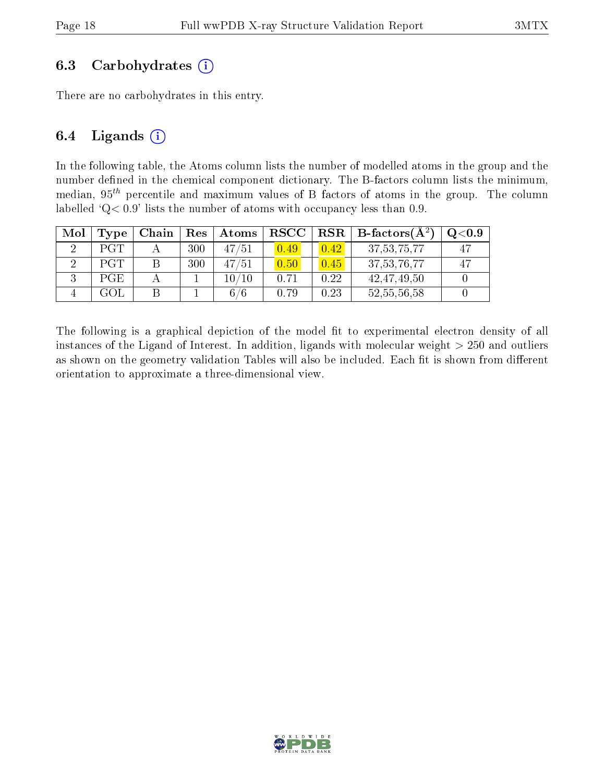#### 6.3 Carbohydrates  $(i)$

There are no carbohydrates in this entry.

#### 6.4 Ligands  $(i)$

In the following table, the Atoms column lists the number of modelled atoms in the group and the number defined in the chemical component dictionary. The B-factors column lists the minimum, median,  $95<sup>th</sup>$  percentile and maximum values of B factors of atoms in the group. The column labelled 'Q< 0.9' lists the number of atoms with occupancy less than 0.9.

| Mol | Type       | Chain | Res | Atoms       | $_{\rm RSCC}$     | RSR  | B-factors $(A^2)$ | Q <sub>0.9</sub> |
|-----|------------|-------|-----|-------------|-------------------|------|-------------------|------------------|
|     | <b>PGT</b> |       | 300 | 47/51       | 0.49 <sub>l</sub> | 0.42 | 37, 53, 75, 77    | 47               |
|     | PGT        |       | 300 | 47/51       | 0.50              | 0.45 | 37, 53, 76, 77    |                  |
|     | <b>PGE</b> |       |     | $10\, / 10$ | 0.71              | 0.22 | 42, 47, 49, 50    |                  |
|     |            |       |     | /6<br>6.    | 0.79              | 0.23 | 52, 55, 56, 58    |                  |

The following is a graphical depiction of the model fit to experimental electron density of all instances of the Ligand of Interest. In addition, ligands with molecular weight  $> 250$  and outliers as shown on the geometry validation Tables will also be included. Each fit is shown from different orientation to approximate a three-dimensional view.

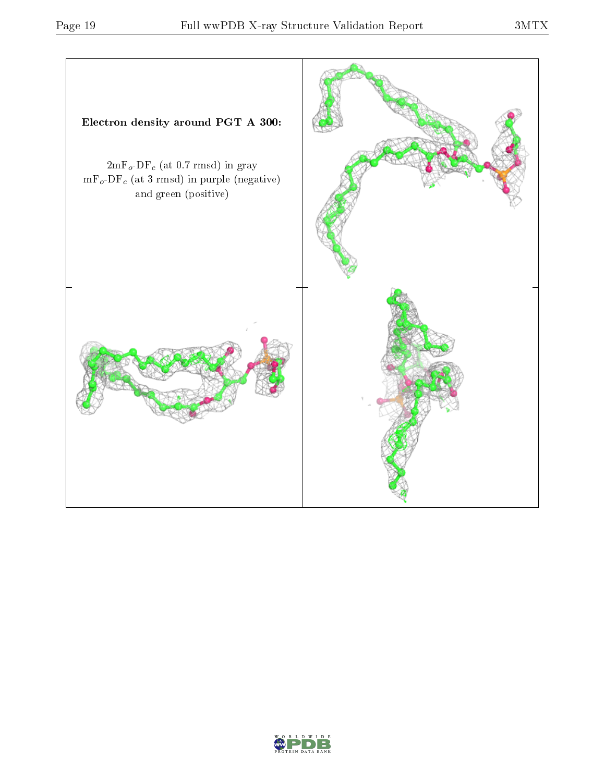